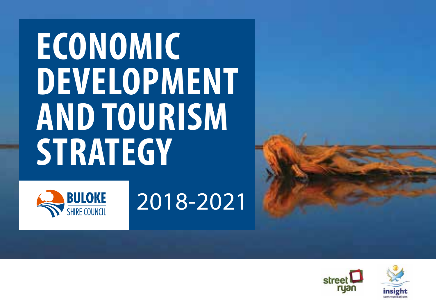# **ECONOMIC DEVELOPMENT AND TOURISM STRATEGY**



## 2018-2021





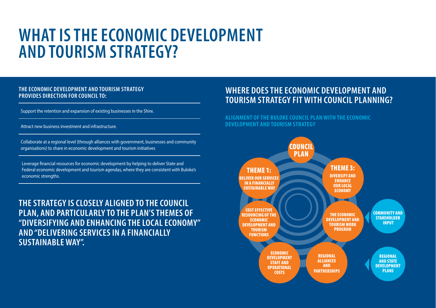## **WHAT IS THE ECONOMIC DEVELOPMENT AND TOURISM STRATEGY?**

#### **THE ECONOMIC DEVELOPMENT AND TOURISM STRATEGY PROVIDES DIRECTION FOR COUNCIL TO:**

Support the retention and expansion of existing businesses in the Shire.

Attract new business investment and infrastructure.

Collaborate at a regional level (through alliances with government, businesses and community organisations) to share in economic development and tourism initiatives

Leverage financial resources for economic development by helping to deliver State and Federal economic development and tourism agendas, where they are consistent with Buloke's economic strengths.

**THE STRATEGY IS CLOSELY ALIGNED TO THE COUNCIL PLAN, AND PARTICULARLY TO THE PLAN'S THEMES OF "DIVERSIFYING AND ENHANCING THE LOCAL ECONOMY" AND "DELIVERING SERVICES IN A FINANCIALLY SUSTAINABLE WAY".**

### **WHERE DOES THE ECONOMIC DEVELOPMENT AND TOURISM STRATEGY FIT WITH COUNCIL PLANNING?**

#### **ALIGNMENT OF THE BULOKE COUNCIL PLAN WITH THE ECONOMIC DEVELOPMENT AND TOURISM STRATEGY**

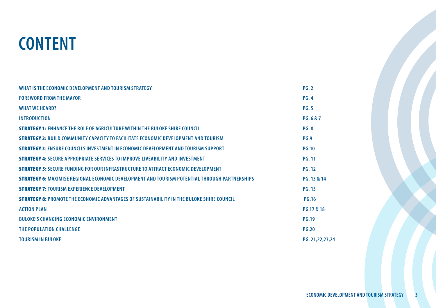

| WHAT IS THE ECONOMIC DEVELOPMENT AND TOURISM STRATEGY                                                | <b>PG. 2</b>       |
|------------------------------------------------------------------------------------------------------|--------------------|
| <b>FOREWORD FROM THE MAYOR</b>                                                                       | <b>PG.4</b>        |
| <b>WHAT WE HEARD?</b>                                                                                | <b>PG.5</b>        |
| <b>INTRODUCTION</b>                                                                                  | PG.6&7             |
| <b>STRATEGY 1: ENHANCE THE ROLE OF AGRICULTURE WITHIN THE BULOKE SHIRE COUNCIL</b>                   | <b>PG.8</b>        |
| <b>STRATEGY 2: BUILD COMMUNITY CAPACITY TO FACILITATE FCONOMIC DEVELOPMENT AND TOURISM</b>           | <b>PG.9</b>        |
| <b>STRATEGY 3: ENSURE COUNCILS INVESTMENT IN ECONOMIC DEVELOPMENT AND TOURISM SUPPORT</b>            | <b>PG.10</b>       |
| <b>STRATEGY 4: SECURE APPROPRIATE SERVICES TO IMPROVE LIVEABILITY AND INVESTMENT</b>                 | <b>PG. 11</b>      |
| <b>STRATEGY 5: SECURE FUNDING FOR OUR INFRASTRUCTURE TO ATTRACT ECONOMIC DEVELOPMENT</b>             | <b>PG. 12</b>      |
| <b>STRATEGY 6:</b> MAXIMISE REGIONAL ECONOMIC DEVELOPMENT AND TOURISM POTENTIAL THROUGH PARTNERSHIPS | PG. 13 & 14        |
| <b>STRATEGY 7: TOURISM EXPERIENCE DEVELOPMENT</b>                                                    | <b>PG. 15</b>      |
| <b>STRATEGY 8: PROMOTE THE ECONOMIC ADVANTAGES OF SUSTAINABILITY IN THE BULOKE SHIRE COUNCIL</b>     | <b>PG.16</b>       |
| <b>ACTION PLAN</b>                                                                                   | PG 17 & 18         |
| <b>BULOKE'S CHANGING ECONOMIC ENVIRONMENT</b>                                                        | <b>PG.19</b>       |
| THE POPULATION CHALLENGE                                                                             | <b>PG.20</b>       |
| <b>TOURISM IN BULOKE</b>                                                                             | PG. 21, 22, 23, 24 |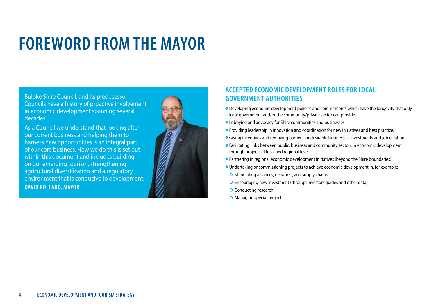## **FOREWORD FROM THE MAYOR**

Buloke Shire Council, and its predecessor Councils have a history of proactive involvement in economic development spanning several decades.

As a Council we understand that looking after our current business and helping them to harness new opportunities is an integral part of our core business. How we do this is set out within this document and includes building on our emerging tourism, strengthening agricultural diversification and a regulatory environment that is conducive to development. **DAVID POLLARD, MAYOR**



#### **ACCEPTED ECONOMIC DEVELOPMENT ROLES FOR LOCAL GOVERNMENT AUTHORITIES**

- **•** Developing economic development policies and commitments which have the longevity that only local government and/or the community/private sector can provide.
- l Lobbying and advocacy for Shire communities and businesses.
- **Providing leadership in innovation and coordination for new initiatives and best practice.**
- **Giving incentives and removing barriers for desirable businesses, investments and job creation.**
- l Facilitating links between public, business and community sectors in economic development through projects at local and regional level.
- Partnering in regional economic development initiatives (beyond the Shire boundaries).
- l Undertaking or commissioning projects to achieve economic development in, for example:
- $\circ$  Stimulating alliances, networks, and supply chains
- Encouraging new investment (through investors guides and other data)
- **O** Conducting research
- **O** Managing special projects.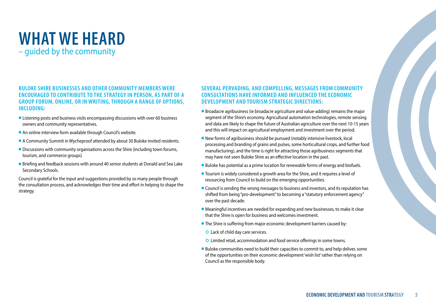## **WHAT WE HEARD** – guided by the community

#### **BULOKE SHIRE BUSINESSES AND OTHER COMMUNITY MEMBERS WERE ENCOURAGED TO CONTRIBUTE TO THE STRATEGY IN PERSON, AS PART OF A GROUP FORUM, ONLINE, OR IN WRITING, THROUGH A RANGE OF OPTIONS, INCLUDING:**

- l Listening posts and business visits encompassing discussions with over 60 business owners and community representatives.
- An online interview form available through Council's website.
- A Community Summit in Wycheproof attended by about 30 Buloke invited residents.
- **Discussions with community organisations across the Shire (including town forums,** tourism, and commerce groups)
- **•** Briefing and feedback sessions with around 40 senior students at Donald and Sea Lake Secondary Schools.

Council is grateful for the input and suggestions provided by so many people through the consultation process, and acknowledges their time and effort in helping to shape the strategy.

#### **SEVERAL PERVADING, AND COMPELLING, MESSAGES FROM COMMUNITY CONSULTATIONS HAVE INFORMED AND INFLUENCED THE ECONOMIC DEVELOPMENT AND TOURISM STRATEGIC DIRECTIONS:**

- **•** Broadacre agribusiness (ie broadacre agriculture and value-adding) remains the major segment of the Shire's economy. Agricultural automation technologies, remote sensing and data are likely to shape the future of Australian agriculture over the next 10-15 years and this will impact on agricultural employment and investment over the period.
- **New forms of agribusiness should be pursued (notably intensive livestock, local** processing and branding of grains and pulses, some horticultural crops, and further food manufacturing), and the time is right for attracting those agribusiness segments that may have not seen Buloke Shire as an effective location in the past.
- Buloke has potential as a prime location for renewable forms of energy and biofuels.
- Tourism is widely considered a growth area for the Shire, and it requires a level of resourcing from Council to build on the emerging opportunities.
- **Council is sending the wrong messages to business and investors, and its reputation has** shifted from being "pro-development" to becoming a "statutory enforcement agency" over the past decade.
- **•** Meaningful incentives are needed for expanding and new businesses, to make it clear that the Shire is open for business and welcomes investment.
- **•** The Shire is suffering from major economic development barriers caused by:
	- Lack of child day care services.
	- Limited retail, accommodation and food service offerings in some towns.
- Buloke communities need to build their capacities to commit to, and help deliver, some of the opportunities on their economic development 'wish list' rather than relying on Council as the responsible body.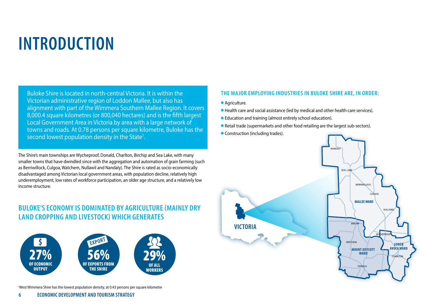## **INTRODUCTION**

Buloke Shire is located in north-central Victoria. It is within the Victorian administrative region of Loddon Mallee, but also has alignment with part of the Wimmera Southern Mallee Region. It covers 8,000.4 square kilometres (or 800,040 hectares) and is the fifth largest Local Government Area in Victoria by area with a large network of towns and roads. At 0.78 persons per square kilometre, Buloke has the second lowest population density in the State<sup>1</sup>.

The Shire's main townships are Wycheproof, Donald, Charlton, Birchip and Sea Lake, with many smaller towns that have dwindled since with the aggregation and automation of grain farming (such as Berriwillock, Culgoa, Watchem, Nullawil and Nandaly). The Shire is rated as socio-economically disadvantaged among Victorian local government areas, with population decline, relatively high underemployment, low rates of workforce participation, an older age structure, and a relatively low income structure.

### **BULOKE'S ECONOMY IS DOMINATED BY AGRICULTURE (MAINLY DRY LAND CROPPING AND LIVESTOCK) WHICH GENERATES**



#### <sup>1</sup> West Wimmera Shire has the lowest population density, at 0.43 persons per square kilometre

#### **THE MAJOR EMPLOYING INDUSTRIES IN BULOKE SHIRE ARE, IN ORDER:**

- **Agriculture.**
- l Health care and social assistance (led by medical and other health care services).
- Education and training (almost entirely school education).
- Retail trade (supermarkets and other food retailing are the largest sub-sectors).
- **Construction (including trades).**

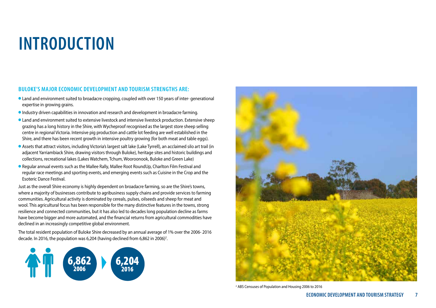## **INTRODUCTION**

#### **BULOKE'S MAJOR ECONOMIC DEVELOPMENT AND TOURISM STRENGTHS ARE:**

- l Land and environment suited to broadacre cropping, coupled with over 150 years of inter- generational expertise in growing grains.
- l Industry driven capabilities in innovation and research and development in broadacre farming.
- **I** Land and environment suited to extensive livestock and intensive livestock production. Extensive sheep grazing has a long history in the Shire, with Wycheproof recognised as the largest store sheep selling centre in regional Victoria. Intensive pig production and cattle lot feeding are well established in the Shire, and there has been recent growth in intensive poultry growing (for both meat and table eggs).
- l Assets that attract visitors, including Victoria's largest salt lake (Lake Tyrrell), an acclaimed silo art trail (in adjacent Yarriambiack Shire, drawing visitors through Buloke), heritage sites and historic buildings and collections, recreational lakes (Lakes Watchem, Tchum, Wooroonook, Buloke and Green Lake)
- l Regular annual events such as the Mallee Rally, Mallee Root RoundUp, Charlton Film Festival and regular race meetings and sporting events, and emerging events such as Cuisine in the Crop and the Esoteric Dance Festival.

Just as the overall Shire economy is highly dependent on broadacre farming, so are the Shire's towns, where a majority of businesses contribute to agribusiness supply chains and provide services to farming communities. Agricultural activity is dominated by cereals, pulses, oilseeds and sheep for meat and wool. This agricultural focus has been responsible for the many distinctive features in the towns, strong resilience and connected communities, but it has also led to decades long population decline as farms have become bigger and more automated, and the financial returns from agricultural commodities have declined in an increasingly competitive global environment.

The total resident population of Buloke Shire decreased by an annual average of 1% over the 2006- 2016 decade. In 2016, the population was 6,204 (having declined from 6,862 in 2006)<sup>2</sup>.





2 ABS Censuses of Population and Housing 2006 to 2016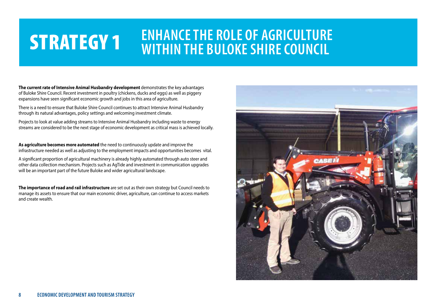## **ENHANCE THE ROLE OF AGRICULTURE STRATEGY 1** ENHANCE THE RULE OF AGRICULTURE

**The current rate of Intensive Animal Husbandry development** demonstrates the key advantages of Buloke Shire Council. Recent investment in poultry (chickens, ducks and eggs) as well as piggery expansions have seen significant economic growth and jobs in this area of agriculture.

There is a need to ensure that Buloke Shire Council continues to attract Intensive Animal Husbandry through its natural advantages, policy settings and welcoming investment climate.

Projects to look at value adding streams to Intensive Animal Husbandry including waste to energy streams are considered to be the next stage of economic development as critical mass is achieved locally.

**As agriculture becomes more automated** the need to continuously update and improve the infrastructure needed as well as adjusting to the employment impacts and opportunities becomes vital.

A significant proportion of agricultural machinery is already highly automated through auto steer and other data collection mechanism. Projects such as AgTide and investment in communication upgrades will be an important part of the future Buloke and wider agricultural landscape.

**The importance of road and rail infrastructure** are set out as their own strategy but Council needs to manage its assets to ensure that our main economic driver, agriculture, can continue to access markets and create wealth.

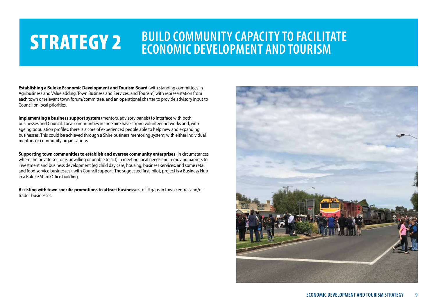## **STRATEGY 2** BUILD COMMUNITY CAPACITY TO FACILITATE<br>
ECONOMIC DEVELOPMENT AND TOURISM

**Establishing a Buloke Economic Development and Tourism Board** (with standing committees in Agribusiness and Value adding, Town Business and Services, and Tourism) with representation from each town or relevant town forum/committee, and an operational charter to provide advisory input to Council on local priorities.

**Implementing a business support system** (mentors, advisory panels) to interface with both businesses and Council. Local communities in the Shire have strong volunteer networks and, with ageing population profiles, there is a core of experienced people able to help new and expanding businesses. This could be achieved through a Shire business mentoring system; with either individual mentors or community organisations.

**Supporting town communities to establish and oversee community enterprises** (in circumstances where the private sector is unwilling or unable to act) in meeting local needs and removing barriers to investment and business development (eg child day care, housing, business services, and some retail and food service businesses), with Council support. The suggested first, pilot, project is a Business Hub in a Buloke Shire Office building.

**Assisting with town specific promotions to attract businesses** to fill gaps in town centres and/or trades businesses.

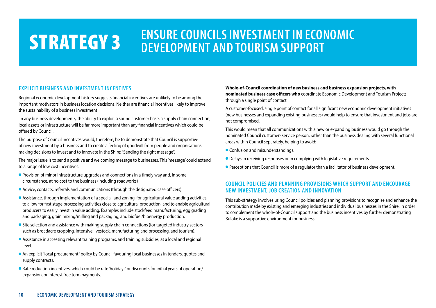### **STRATEGY 3** ENSURE COUNCILS INVESTMENT IN ECONOMIC **DEVELOPMENT AND TOURISM SUPPORT**

#### **EXPLICIT BUSINESS AND INVESTMENT INCENTIVES**

Regional economic development history suggests financial incentives are unlikely to be among the important motivators in business location decisions. Neither are financial incentives likely to improve the sustainability of a business investment

 In any business developments, the ability to exploit a sound customer base, a supply chain connection, local assets or infrastructure will be far more important than any financial incentives which could be offered by Council.

The purpose of Council incentives would, therefore, be to demonstrate that Council is supportive of new investment by a business and to create a feeling of goodwill from people and organisations making decisions to invest and to innovate in the Shire: "Sending the right message".

The major issue is to send a positive and welcoming message to businesses. This 'message' could extend to a range of low cost incentives:

- **•** Provision of minor infrastructure upgrades and connections in a timely way and, in some circumstance, at no cost to the business (including roadworks)
- Advice, contacts, referrals and communications (through the designated case officers)
- **•** Assistance, through implementation of a special land zoning, for agricultural value adding activities, to allow for first stage processing activities close to agricultural production, and to enable agricultural producers to easily invest in value adding. Examples include stockfeed manufacturing, egg grading and packaging, grain mixing/milling and packaging, and biofuel/bioenergy production.
- **•** Site selection and assistance with making supply chain connections (for targeted industry sectors such as broadacre cropping, intensive livestock, manufacturing and processing, and tourism).
- **•** Assistance in accessing relevant training programs, and training subsidies, at a local and regional level.
- l An explicit "local procurement" policy by Council favouring local businesses in tenders, quotes and supply contracts.
- Rate reduction incentives, which could be rate 'holidays' or discounts for initial years of operation/ expansion, or interest free term payments.

#### **Whole-of-Council coordination of new business and business expansion projects, with nominated business case officers who** coordinate Economic Development and Tourism Projects through a single point of contact

A customer-focused, single point of contact for all significant new economic development initiatives (new businesses and expanding existing businesses) would help to ensure that investment and jobs are not compromised.

This would mean that all communications with a new or expanding business would go through the nominated Council customer- service person, rather than the business dealing with several functional areas within Council separately, helping to avoid:

- **Confusion and misunderstandings.**
- Delays in receiving responses or in complying with legislative requirements.
- **•** Perceptions that Council is more of a regulator than a facilitator of business development.

#### **COUNCIL POLICIES AND PLANNING PROVISIONS WHICH SUPPORT AND ENCOURAGE NEW INVESTMENT, JOB CREATION AND INNOVATION**

This sub-strategy involves using Council policies and planning provisions to recognise and enhance the contribution made by existing and emerging industries and individual businesses in the Shire, in order to complement the whole-of-Council support and the business incentives by further demonstrating Buloke is a supportive environment for business.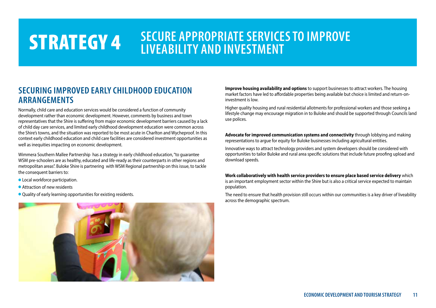## **STRATEGY 4** SECURE APPROPRIATE SERVICES TO IMPROVE **LIVEABILITY AND INVESTMENT**

### **SECURING IMPROVED EARLY CHILDHOOD EDUCATION ARRANGEMENTS**

Normally, child care and education services would be considered a function of community development rather than economic development. However, comments by business and town representatives that the Shire is suffering from major economic development barriers caused by a lack of child day care services, and limited early childhood development education were common across the Shire's towns, and the situation was reported to be most acute in Charlton and Wycheproof. In this context early childhood education and child care facilities are considered investment opportunities as well as inequities impacting on economic development.

Wimmera Southern Mallee Partnership has a strategy in early childhood education, "to guarantee WSM pre-schoolers are as healthy, educated and life-ready as their counterparts in other regions and metropolitan areas". Buloke Shire is partnering with WSM Regional partnership on this issue, to tackle the consequent barriers to:

- **Local workforce participation.**
- **Attraction of new residents**
- Quality of early learning opportunities for existing residents.



**Improve housing availability and options** to support businesses to attract workers. The housing market factors have led to affordable properties being available but choice is limited and return-oninvestment is low.

Higher quality housing and rural residential allotments for professional workers and those seeking a lifestyle change may encourage migration in to Buloke and should be supported through Councils land use polices.

**Advocate for improved communication systems and connectivity** through lobbying and making representations to argue for equity for Buloke businesses including agricultural entities.

Innovative ways to attract technology providers and system developers should be considered with opportunities to tailor Buloke and rural area specific solutions that include future proofing upload and download speeds.

**Work collaboratively with health service providers to ensure place based service delivery** which is an important employment sector within the Shire but is also a critical service expected to maintain population.

The need to ensure that health provision still occurs within our communities is a key driver of liveability across the demographic spectrum.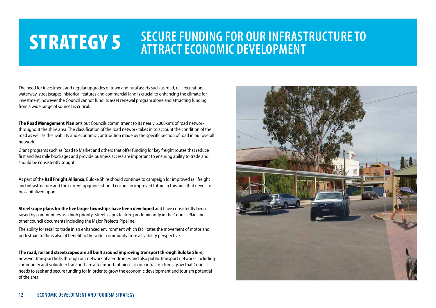## **STRATEGY 5** SECURE FUNDING FOR OUR INFRASTRUCTURE TO **ATTRACT ECONOMIC DEVELOPMENT**

The need for investment and regular upgrades of town and rural assets such as road, rail, recreation, waterway, streetscapes, historical features and commercial land is crucial to enhancing the climate for investment, however the Council cannot fund its asset renewal program alone and attracting funding from a wide range of sources is critical.

**The Road Management Plan** sets out Councils commitment to its nearly 6,000km's of road network throughout the shire area. The classification of the road network takes in to account the condition of the road as well as the livability and economic contribution made by the specific section of road in our overall network.

Grant programs such as Road to Market and others that offer funding for key freight routes that reduce first and last mile blockages and provide business access are important to ensuring ability to trade and should be consistently sought.

As part of the **Rail Freight Alliance**, Buloke Shire should continue to campaign for improved rail freight and infrastructure and the current upgrades should ensure an improved future in this area that needs to be capitalized upon.

**Streetscape plans for the five larger townships have been developed** and have consistently been raised by communities as a high priority. Streetscapes feature predominantly in the Council Plan and other council documents including the Major Projects Pipeline.

The ability for retail to trade in an enhanced environment which facilitates the movement of motor and pedestrian traffic is also of benefit to the wider community from a livability perspective.

**The road, rail and streetscapes are all built around improving transport through Buloke Shire,** however transport links through our network of aerodromes and also public transport networks including community and volunteer transport are also important pieces in our infrastructure jigsaw that Council needs to seek and secure funding for in order to grow the economic development and tourism potential of the area.

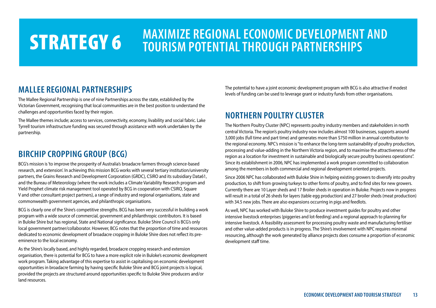## **STRATEGY 6** MAXIMIZE REGIONAL ECONOMIC DEVELOPMENT AND **STRATEGY 6** MAXIMIZE REGIONAL ECONOMIC DEVELOPMENT AND **TOURISM POTENTIAL THROUGH PARTNERSHIPS**

### **MALLEE REGIONAL PARTNERSHIPS**

The Mallee Regional Partnership is one of nine Partnerships across the state, established by the Victorian Government, recognising that local communities are in the best position to understand the challenges and opportunities faced by their region.

The Mallee themes include; access to services, connectivity, economy, livability and social fabric. Lake Tyrrell tourism infrastructure funding was secured through assistance with work undertaken by the partnership.

### **BIRCHIP CROPPING GROUP (BCG)**

BCG's mission is 'to improve the prosperity of Australia's broadacre farmers through science-based research, and extension'. In achieving this mission BCG works with several tertiary institution/university partners, the Grains Research and Development Corporation (GRDC), CSIRO and its subsidiary Data61, and the Bureau of Meteorology (where the work includes a Climate Variability Research program and Yield Prophet climate risk management tool operated by BCG in cooperation with CSIRO, Square V and other consultant project partners), a range of industry and regional organisations, state and commonwealth government agencies, and philanthropic organisations.

BCG is clearly one of the Shire's competitive strengths. BCG has been very successful in building a work program with a wide source of commercial, government and philanthropic contributors. It is based in Buloke Shire but has regional, State and National significance. Buloke Shire Council is BCG's only local government partner/collaborator. However, BCG notes that the proportion of time and resources dedicated to economic development of broadacre cropping in Buloke Shire does not reflect its preeminence to the local economy.

As the Shire's locally based, and highly regarded, broadacre cropping research and extension organisation, there is potential for BCG to have a more explicit role in Buloke's economic development work program. Taking advantage of this expertise to assist in capitalising on economic development opportunities in broadacre farming by having specific Buloke Shire and BCG joint projects is logical, provided the projects are structured around opportunities specific to Buloke Shire producers and/or land resources.

The potential to have a joint economic development program with BCG is also attractive if modest levels of funding can be used to leverage grant or industry funds from other organisations.

### **NORTHERN POULTRY CLUSTER**

The Northern Poultry Cluster (NPC) represents poultry industry members and stakeholders in north central Victoria. The region's poultry industry now includes almost 100 businesses, supports around 3,000 jobs (full time and part time) and generates more than \$750 million in annual contribution to the regional economy. NPC's mission is "to enhance the long-term sustainability of poultry production, processing and value-adding in the Northern Victoria region, and to maximise the attractiveness of the region as a location for investment in sustainable and biologically secure poultry business operations". Since its establishment in 2006, NPC has implemented a work program committed to collaboration among the members in both commercial and regional development oriented projects.

Since 2006 NPC has collaborated with Buloke Shire in helping existing growers to diversify into poultry production, to shift from growing turkeys to other forms of poultry, and to find sites for new growers. Currently there are 10 Layer sheds and 17 Broiler sheds in operation in Buloke. Projects now in progress will result in a total of 26 sheds for layers (table egg production) and 27 broiler sheds (meat production) with 34.5 new jobs. There are also expansions occurring in pigs and feedlots.

As well, NPC has worked with Buloke Shire to produce investment guides for poultry and other intensive livestock enterprises (piggeries and lot-feeding) and a regional approach to planning for intensive livestock. A feasibility assessment for processing poultry waste and manufacturing fertiliser and other value-added products is in progress. The Shire's involvement with NPC requires minimal resourcing, although the work generated by alliance projects does consume a proportion of economic development staff time.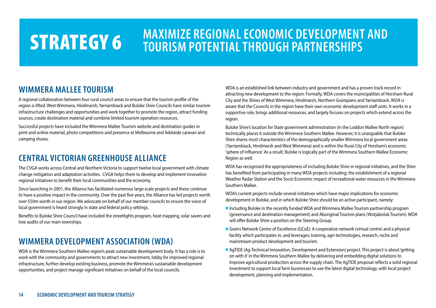## **STRATEGY 6** MAXIMIZE REGIONAL ECONOMIC DEVELOPMENT AND **STRATEGY 6** MAXIMIZE REGIONAL ECONOMIC DEVELOPMENT AND **TOURISM POTENTIAL THROUGH PARTNERSHIPS**

### **WIMMERA MALLEE TOURISM**

A regional collaboration between four rural council areas to ensure that the tourism profile of the region is lifted. West Wimmera, Hindmarsh, Yarriambiack and Buloke Shire Councils have similar tourism infrastructure challenges and opportunities and work together to promote the region, attract funding sources, create destination material and combine limited tourism operation resources.

Successful projects have included the Wimmera Mallee Tourism website and destination guides in print and online material, photo competitions and presence at Melbourne and Adelaide caravan and camping shows.

### **CENTRAL VICTORIAN GREENHOUSE ALLIANCE**

The CVGA works across Central and Northern Victoria to support twelve local government with climate change mitigation and adaptation activities. CVGA helps them to develop and implement innovative regional initiatives to benefit their local communities and the economy.

Since launching in 2001, the Alliance has facilitated numerous large scale projects and these continue to have a positive impact in the community. Over the past five years, the Alliance has led projects worth over \$50m worth in our region. We advocate on behalf of our member councils to ensure the voice of local government is heard strongly in state and federal policy settings.

Benefits to Buloke Shire Council have included the streetlights program, heat mapping, solar savers and tree audits of our main townships.

### **WIMMERA DEVELOPMENT ASSOCIATION (WDA)**

WDA is the Wimmera Southern Mallee region's peak sustainable development body. It has a role is to work with the community and governments to attract new investment, lobby for improved regional infrastructure, further develop existing business, promote the Wimmera's sustainable development opportunities, and project manage significant initiatives on behalf of the local councils.

WDA is an established link between industry and government and has a proven track record in attracting new development to the region. Formally, WDA covers the municipalities of Horsham Rural City and the Shires of West Wimmera, Hindmarsh, Northern Grampians and Yarriambiack. WDA is aware that the Councils in the region have their own economic development staff units. It works in a supportive role, brings additional resources, and largely focuses on projects which extend across the region.

Buloke Shire's location for State government administration (in the Loddon Mallee North region) technically places it outside the Wimmera Southern Mallee. However, it is unarguable that Buloke Shire shares most characteristics of the demographically smaller Wimmera local government areas (Yarriambiack, Hindmarsh and West Wimmera) and is within the Rural City of Horsham's economic 'sphere of influence'. As a result, Buloke is logically part of the Wimmera Southern Mallee Economic Region as well.

WDA has recognised the appropriateness of including Buloke Shire in regional initiatives, and the Shire has benefited from participating in many WDA projects including; the establishment of a regional Weather Radar Station and the Socio Economic impact of recreational water resources in the Wimmera Southern Mallee.

WDA's current projects include several initiatives which have major implications for economic development in Buloke, and in which Buloke Shire should be an active participant, namely:

- l Including Buloke in the recently funded WDA and Wimmera Mallee Tourism partnership program (governance and destination management) and Aboriginal Tourism plans (Wotjaboluk Tourism). WDA will offer Buloke Shire a position on the Steering Group.
- **Grains Network Centre of Excellence (GCoE): A cooperative network (virtual centre) and a physical** facility which participates in, and leverages; training, agri-technologies, research, niche and mainstream product development and tourism.
- l AgTIDE (Ag-Technical Innovation, Development and Extension) project. This project is about 'getting on with it' in the Wimmera Southern Mallee by delivering and embedding digital solutions to improve agricultural production across the supply chain. The AgTIDE proposal reflects a solid regional investment to support local farm businesses to use the latest digital technology, with local project development, planning and implementation.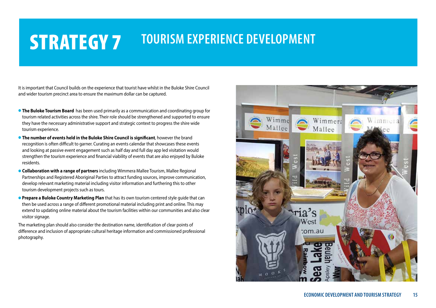## **STRATEGY 7 TOURISM EXPERIENCE DEVELOPMENT**

It is important that Council builds on the experience that tourist have whilst in the Buloke Shire Council and wider tourism precinct area to ensure the maximum dollar can be captured.

- **The Buloke Tourism Board** has been used primarily as a communication and coordinating group for tourism related activities across the shire. Their role should be strengthened and supported to ensure they have the necessary administrative support and strategic context to progress the shire wide tourism experience.
- **The number of events held in the Buloke Shire Council is significant**, however the brand recognition is often difficult to garner. Curating an events calendar that showcases these events and looking at passive event engagement such as half day and full day app led visitation would strengthen the tourism experience and financial viability of events that are also enjoyed by Buloke residents.
- **Collaboration with a range of partners** including Wimmera Mallee Tourism, Mallee Regional Partnerships and Registered Aboriginal Parties to attract funding sources, improve communication, develop relevant marketing material including visitor information and furthering this to other tourism development projects such as tours.
- **Prepare a Buloke Country Marketing Plan** that has its own tourism centered style quide that can then be used across a range of different promotional material including print and online. This may extend to updating online material about the tourism facilities within our communities and also clear visitor signage.

The marketing plan should also consider the destination name, identification of clear points of difference and inclusion of appropriate cultural heritage information and commissioned professional photography.

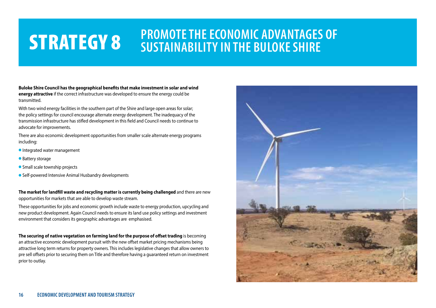## **STRATEGY 8** PROMOTE THE ECONOMIC ADVANTAGES OF **SUSTAINABILITY IN THE BULOKE SHIRE**

**Buloke Shire Council has the geographical benefits that make investment in solar and wind energy attractive** if the correct infrastructure was developed to ensure the energy could be transmitted.

With two wind energy facilities in the southern part of the Shire and large open areas for solar; the policy settings for council encourage alternate energy development. The inadequacy of the transmission infrastructure has stifled development in this field and Council needs to continue to advocate for improvements.

There are also economic development opportunities from smaller scale alternate energy programs including:

- **Integrated water management**
- Battery storage
- **•** Small scale township projects
- Self-powered Intensive Animal Husbandry developments

**The market for landfill waste and recycling matter is currently being challenged** and there are new opportunities for markets that are able to develop waste stream.

These opportunities for jobs and economic growth include waste to energy production, upcycling and new product development. Again Council needs to ensure its land use policy settings and investment environment that considers its geographic advantages are emphasised.

**The securing of native vegetation on farming land for the purpose of offset trading** is becoming an attractive economic development pursuit with the new offset market pricing mechanisms being attractive long term returns for property owners. This includes legislative changes that allow owners to pre sell offsets prior to securing them on Title and therefore having a guaranteed return on investment prior to outlay.

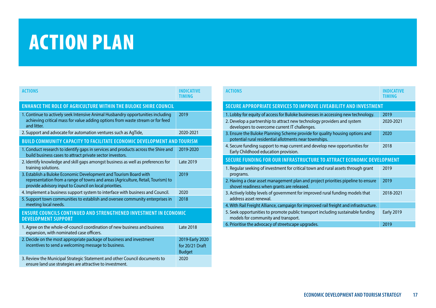## ACTION PLAN

| <b>ACTIONS</b>                                                                                                                                                                                                  | <b>INDICATIVE</b><br>TIMING                         |
|-----------------------------------------------------------------------------------------------------------------------------------------------------------------------------------------------------------------|-----------------------------------------------------|
| <b>ENHANCE THE ROLE OF AGRICULTURE WITHIN THE BULOKE SHIRE COUNCIL</b>                                                                                                                                          |                                                     |
| 1. Continue to actively seek Intensive Animal Husbandry opportunities including<br>achieving critical mass for value adding options from waste stream or for feed<br>and litter.                                | 2019                                                |
| 2. Support and advocate for automation ventures such as AgTide,                                                                                                                                                 | 2020-2021                                           |
| <b>BUILD COMMUNITY CAPACITY TO FACILITATE ECONOMIC DEVELOPMENT AND TOURISM</b>                                                                                                                                  |                                                     |
| 1. Conduct research to identify gaps in services and products across the Shire and<br>build business cases to attract private sector investors.                                                                 | 2019-2020                                           |
| 2. Identify knowledge and skill gaps amongst business as well as preferences for<br>training solutions.                                                                                                         | Late 2019                                           |
| 3. Establish a Buloke Economic Development and Tourism Board with<br>representation from a range of towns and areas (Agriculture, Retail, Tourism) to<br>provide advisory input to Council on local priorities. | 2019                                                |
| 4. Implement a business support system to interface with business and Council.                                                                                                                                  | 2020                                                |
| 5. Support town communities to establish and oversee community enterprises in<br>meeting local needs.                                                                                                           | 2018                                                |
| <b>ENSURE COUNCILS CONTINUED AND STRENGTHENED INVESTMENT IN ECONOMIC</b><br><b>DEVELOPMENT SUPPORT</b>                                                                                                          |                                                     |
| 1. Agree on the whole-of-council coordination of new business and business<br>expansion, with nominated case officers.                                                                                          | Late 2018                                           |
| 2. Decide on the most appropriate package of business and investment<br>incentives to send a welcoming message to business.                                                                                     | 2019-Early 2020<br>for 20/21 Draft<br><b>Budget</b> |
| 3. Review the Municipal Strategic Statement and other Council documents to<br>ensure land use strategies are attractive to investment.                                                                          | 2020                                                |

| <b>ACTIONS</b>                                                                                                                         | <b>INDICATIVE</b><br>TIMING |
|----------------------------------------------------------------------------------------------------------------------------------------|-----------------------------|
| SECURE APPROPRIATE SERVICES TO IMPROVE LIVEABILITY AND INVESTMENT                                                                      |                             |
| 1. Lobby for equity of access for Buloke businesses in accessing new technology.                                                       | 2019                        |
| 2. Develop a partnership to attract new technology providers and system<br>developers to overcome current IT challenges.               | 2020-2021                   |
| 3. Ensure the Buloke Planning Scheme provide for quality housing options and<br>potential rural residential allotments near townships. | 2020                        |
| 4. Secure funding support to map current and develop new opportunities for<br>Early Childhood education provision.                     | 2018                        |
| SECURE FUNDING FOR OUR INFRASTRUCTURE TO ATTRACT ECONOMIC DEVELOPMENT                                                                  |                             |
| 1. Regular seeking of investment for critical town and rural assets through grant<br>programs.                                         | 2019                        |
| 2. Having a clear asset management plan and project priorities pipeline to ensure<br>shovel readiness when grants are released.        | 2019                        |
| 3. Actively lobby levels of government for improved rural funding models that<br>address asset renewal.                                | 2018-2021                   |
| 4. With Rail Freight Alliance, campaign for improved rail freight and infrastructure.                                                  |                             |
| 5. Seek opportunities to promote public transport including sustainable funding<br>models for community and transport.                 | <b>Early 2019</b>           |
| 6. Prioritise the advocacy of streetscape upgrades.                                                                                    | 2019                        |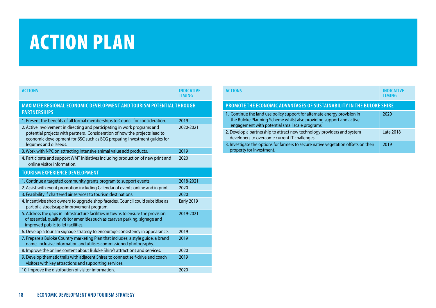## ACTION PLAN

| <b>ACTIONS</b>                                                                                                                                                                                                                                                | <b>INDICATIVE</b><br><b>TIMING</b> |
|---------------------------------------------------------------------------------------------------------------------------------------------------------------------------------------------------------------------------------------------------------------|------------------------------------|
| MAXIMIZE REGIONAL ECONOMIC DEVELOPMENT AND TOURISM POTENTIAL THROUGH<br><b>PARTNERSHIPS</b>                                                                                                                                                                   |                                    |
| 1. Present the benefits of all formal memberships to Council for consideration.                                                                                                                                                                               | 2019                               |
| 2. Active involvement in directing and participating in work programs and<br>potential projects with partners. Consideration of how the projects lead to<br>economic development for BSC such as BCG preparing investment guides for<br>legumes and oilseeds. | 2020-2021                          |
| 3. Work with NPC on attracting intensive animal value add products.                                                                                                                                                                                           | 2019                               |
| 4. Participate and support WMT initiatives including production of new print and<br>online visitor information.                                                                                                                                               | 2020                               |
| <b>TOURISM EXPERIENCE DEVELOPMENT</b>                                                                                                                                                                                                                         |                                    |
| 1. Continue a targeted community grants program to support events.                                                                                                                                                                                            | 2018-2021                          |
| 2. Assist with event promotion including Calendar of events online and in print.                                                                                                                                                                              | 2020                               |
| 3. Feasibility if chartered air services to tourism destinations.                                                                                                                                                                                             | 2020                               |
| 4. Incentivise shop owners to upgrade shop facades. Council could subsidise as<br>part of a streetscape improvement program.                                                                                                                                  | <b>Early 2019</b>                  |
| 5. Address the gaps in infrastructure facilities in towns to ensure the provision<br>of essential, quality visitor amenities such as caravan parking, signage and<br>improved public toilet facilities.                                                       | 2019-2021                          |
| 6. Develop a tourism signage strategy to encourage consistency in appearance.                                                                                                                                                                                 | 2019                               |
| 7. Prepare a Buloke Country marketing Plan that includes; a style quide, a brand<br>name, inclusive information and utilises commissioned photography.                                                                                                        | 2019                               |
| 8. Improve the online content about Buloke Shire's attractions and services.                                                                                                                                                                                  | 2020                               |
| 9. Develop thematic trails with adjacent Shires to connect self-drive and coach<br>visitors with key attractions and supporting services.                                                                                                                     | 2019                               |
| 10. Improve the distribution of visitor information.                                                                                                                                                                                                          | 2020                               |

| <b>ACTIONS</b>                                                                                                                                                                                      |           |
|-----------------------------------------------------------------------------------------------------------------------------------------------------------------------------------------------------|-----------|
| <b>PROMOTE THE ECONOMIC ADVANTAGES OF SUSTAINABILITY IN THE BULOKE SHIRE</b>                                                                                                                        |           |
| 1. Continue the land use policy support for alternate energy provision in<br>the Buloke Planning Scheme whilst also providing support and active<br>engagement with potential small scale programs. | 2020      |
| 2. Develop a partnership to attract new technology providers and system<br>developers to overcome current IT challenges.                                                                            | Late 2018 |
| 3. Investigate the options for farmers to secure native vegetation offsets on their<br>property for investment.                                                                                     | 2019      |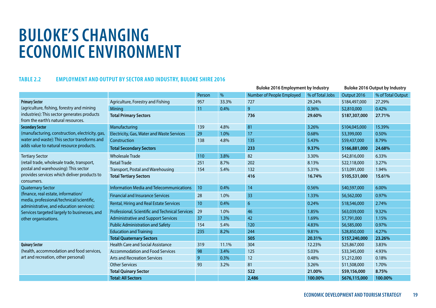## **BULOKE'S CHANGING ECONOMIC ENVIRONMENT**

#### **TABLE 2.2 EMPLOYMENT AND OUTPUT BY SECTOR AND INDUSTRY, BULOKE SHIRE 2016**

|                                                                                       |                                                 |                |       | <b>Buloke 2016 Employment by Industry</b> |                 | <b>Buloke 2016 Output by Industry</b> |                   |
|---------------------------------------------------------------------------------------|-------------------------------------------------|----------------|-------|-------------------------------------------|-----------------|---------------------------------------|-------------------|
|                                                                                       |                                                 | Person         | %     | Number of People Employed                 | % of Total Jobs | Output 2016                           | % of Total Output |
| <b>Primary Sector</b>                                                                 | Agriculture, Forestry and Fishing<br>957        |                | 33.3% | 727                                       | 29.24%          | \$184,497,000                         | 27.29%            |
| (agriculture, fishing, forestry and mining                                            | Mining                                          | 11             | 0.4%  | $\overline{9}$                            | 0.36%           | \$2,810,000                           | 0.42%             |
| industries): This sector generates products<br>from the earth's natural resources.    | <b>Total Primary Sectors</b>                    |                |       | 736                                       | 29.60%          | \$187,307,000                         | 27.71%            |
| <b>Secondary Sector</b>                                                               | Manufacturing                                   | 139            | 4.8%  | 81                                        | 3.26%           | \$104,045,000                         | 15.39%            |
| (manufacturing, construction, electricity, gas,                                       | Electricity, Gas, Water and Waste Services      | 29             | 1.0%  | 17                                        | 0.68%           | \$3,399,000                           | 0.50%             |
| water and waste): This sector transforms and                                          | Construction                                    | 138            | 4.8%  | 135                                       | 5.43%           | \$59,437,000                          | 8.79%             |
| adds value to natural resource products.                                              | <b>Total Secondary Sectors</b>                  |                |       | 233                                       | 9.37%           | \$166,881,000                         | 24.68%            |
| <b>Tertiary Sector</b>                                                                | <b>Wholesale Trade</b>                          | 110            | 3.8%  | 82                                        | 3.30%           | \$42,816,000                          | 6.33%             |
| (retail trade, wholesale trade, transport,                                            | <b>Retail Trade</b>                             | 251            | 8.7%  | 202                                       | 8.13%           | \$22,118,000                          | 3.27%             |
| postal and warehousing): This sector                                                  | Transport, Postal and Warehousing               | 154            | 5.4%  | 132                                       | 5.31%           | \$13,091,000                          | 1.94%             |
| provides services which deliver products to<br>consumers.                             | <b>Total Tertiary Sectors</b>                   |                |       | 416                                       | 16.74%          | \$105,531,000                         | 15.61%            |
| <b>Quaternary Sector</b>                                                              | Information Media and Telecommunications        | 10             | 0.4%  | 14                                        | 0.56%           | \$40,597,000                          | 6.00%             |
| (finance, real estate, information/                                                   | <b>Financial and Insurance Services</b>         | 28             | 1.0%  | 33                                        | 1.33%           | \$6,562,000                           | 0.97%             |
| media, professional/technical/scientific,<br>administrative, and education services): | Rental, Hiring and Real Estate Services         | 10             | 0.4%  | $6\,$                                     | 0.24%           | \$18,546,000                          | 2.74%             |
| Services targeted largely to businesses, and                                          | Professional, Scientific and Technical Services | 29             | 1.0%  | 46                                        | 1.85%           | \$63,039,000                          | 9.32%             |
| other organisations.                                                                  | <b>Administrative and Support Services</b>      | 37             | 1.3%  | 42                                        | 1.69%           | \$7,791,000                           | 1.15%             |
|                                                                                       | <b>Public Administration and Safety</b>         | 154            | 5.4%  | 120<br>4.83%                              |                 | \$6,585,000                           | 0.97%             |
|                                                                                       | <b>Education and Training</b>                   | 235            | 8.2%  | 244                                       |                 | \$28,850,000                          | 4.27%             |
|                                                                                       | <b>Total Quaternary Sectors</b>                 |                |       | 505                                       | 20.31%          | \$157,240,000                         | 23.26%            |
| <b>Quinary Sector</b>                                                                 | <b>Health Care and Social Assistance</b>        | 319            | 11.1% | 304                                       | 12.23%          | \$25,867,000                          | 3.83%             |
| (health, accommodation and food services,                                             | <b>Accommodation and Food Services</b>          | 98             | 3.4%  | 125                                       | 5.03%           | \$33,345,000                          | 4.93%             |
| art and recreation, other personal)                                                   | <b>Arts and Recreation Services</b>             | $\overline{9}$ | 0.3%  | 12                                        | 0.48%           | \$1,212,000                           | 0.18%             |
|                                                                                       | <b>Other Services</b>                           | 93             | 3.2%  | 81                                        | 3.26%           | \$11,508,000                          | 1.70%             |
|                                                                                       | <b>Total Quinary Sector</b>                     |                |       | 522                                       | 21.00%          | \$59,156,000                          | 8.75%             |
|                                                                                       | <b>Total: All Sectors</b>                       |                |       | 2,486                                     | 100.00%         | \$676,115,000                         | 100.00%           |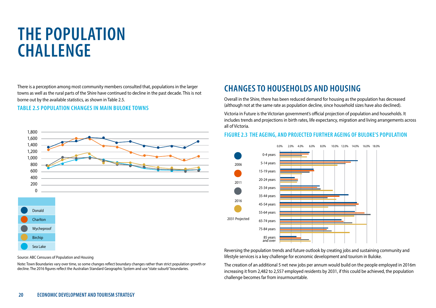## **THE POPULATION CHALLENGE**

There is a perception among most community members consulted that, populations in the larger towns as well as the rural parts of the Shire have continued to decline in the past decade. This is not borne out by the available statistics, as shown in Table 2.5.

#### **TABLE 2.5 POPULATION CHANGES IN MAIN BULOKE TOWNS**



#### Source: ABC Censuses of Population and Housing

Note: Town Boundaries vary over time, so some changes reflect boundary changes rather than strict population growth or decline. The 2016 figures reflect the Australian Standard Geographic System and use "state suburb" boundaries.

### **CHANGES TO HOUSEHOLDS AND HOUSING**

Overall in the Shire, there has been reduced demand for housing as the population has decreased (although not at the same rate as population decline, since household sizes have also declined).

Victoria in Future is the Victorian government's official projection of population and households. It includes trends and projections in birth rates, life expectancy, migration and living arrangements across all of Victoria.

#### **FIGURE 2.3 THE AGEING, AND PROJECTED FURTHER AGEING OF BULOKE'S POPULATION**



Reversing the population trends and future outlook by creating jobs and sustaining community and lifestyle services is a key challenge for economic development and tourism in Buloke.

The creation of an additional 5 net new jobs per annum would build on the people employed in 2016m increasing it from 2,482 to 2,557 employed residents by 2031, if this could be achieved, the population challenge becomes far from insurmountable.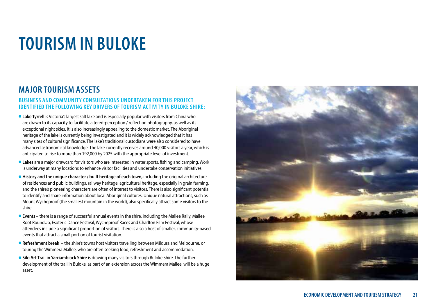### **MAJOR TOURISM ASSETS**

#### **BUSINESS AND COMMUNITY CONSULTATIONS UNDERTAKEN FOR THIS PROJECT IDENTIFIED THE FOLLOWING KEY DRIVERS OF TOURISM ACTIVITY IN BULOKE SHIRE:**

- **Lake Tyrrell** is Victoria's largest salt lake and is especially popular with visitors from China who are drawn to its capacity to facilitate altered-perception / reflection photography, as well as its exceptional night skies. It is also increasingly appealing to the domestic market. The Aboriginal heritage of the lake is currently being investigated and it is widely acknowledged that it has many sites of cultural significance. The lake's traditional custodians were also considered to have advanced astronomical knowledge. The lake currently receives around 40,000 visitors a year, which is anticipated to rise to more than 192,000 by 2025 with the appropriate level of investment.
- **Lakes** are a major drawcard for visitors who are interested in water sports, fishing and camping. Work is underway at many locations to enhance visitor facilities and undertake conservation initiatives.
- **History and the unique character / built heritage of each town, including the original architecture** of residences and public buildings, railway heritage, agricultural heritage, especially in grain farming, and the shire's pioneering characters are often of interest to visitors. There is also significant potential to identify and share information about local Aboriginal cultures. Unique natural attractions, such as Mount Wycheproof (the smallest mountain in the world), also specifically attract some visitors to the shire.
- **Events** there is a range of successful annual events in the shire, including the Mallee Rally, Mallee Root RoundUp, Esoteric Dance Festival, Wycheproof Races and Charlton Film Festival, whose attendees include a significant proportion of visitors. There is also a host of smaller, community-based events that attract a small portion of tourist visitation.
- **Refreshment break** the shire's towns host visitors travelling between Mildura and Melbourne, or touring the Wimmera Mallee, who are often seeking food, refreshment and accommodation.
- **. Silo Art Trail in Yarriambiack Shire** is drawing many visitors through Buloke Shire. The further development of the trail in Buloke, as part of an extension across the Wimmera Mallee, will be a huge asset.

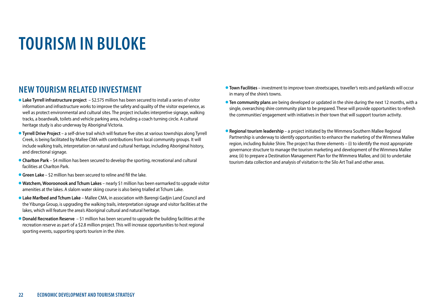### **NEW TOURISM RELATED INVESTMENT**

- **Lake Tyrrell infrastructure project** \$2.575 million has been secured to install a series of visitor information and infrastructure works to improve the safety and quality of the visitor experience, as well as protect environmental and cultural sites. The project includes interpretive signage, walking tracks, a boardwalk, toilets and vehicle parking area, including a coach turning circle. A cultural heritage study is also underway by Aboriginal Victoria.
- l **Tyrrell Drive Project** a self-drive trail which will feature five sites at various townships along Tyrrell Creek, is being facilitated by Mallee CMA with contributions from local community groups. It will include walking trails, interpretation on natural and cultural heritage, including Aboriginal history, and directional signage.
- **Charlton Park** \$4 million has been secured to develop the sporting, recreational and cultural facilities at Charlton Park.
- l **Green Lake**  \$2 million has been secured to reline and fill the lake.
- **. Watchem, Wooroonook and Tchum Lakes** nearly \$1 million has been earmarked to upgrade visitor amenities at the lakes. A slalom water skiing course is also being trialled at Tchum Lake.
- l **Lake Marlbed and Tchum Lake**  Mallee CMA, in association with Barengi Gadjin Land Council and the Yibunga Group, is upgrading the walking trails, interpretation signage and visitor facilities at the lakes, which will feature the area's Aboriginal cultural and natural heritage.
- **Donald Recreation Reserve** \$1 million has been secured to upgrade the building facilities at the recreation reserve as part of a \$2.8 million project. This will increase opportunities to host regional sporting events, supporting sports tourism in the shire.
- **Town Facilities** investment to improve town streetscapes, traveller's rests and parklands will occur in many of the shire's towns.
- **Ten community plans** are being developed or updated in the shire during the next 12 months, with a single, overarching shire community plan to be prepared. These will provide opportunities to refresh the communities' engagement with initiatives in their town that will support tourism activity.
- **Regional tourism leadership** a project initiated by the Wimmera Southern Mallee Regional Partnership is underway to identify opportunities to enhance the marketing of the Wimmera Mallee region, including Buloke Shire. The project has three elements – (i) to identify the most appropriate governance structure to manage the tourism marketing and development of the Wimmera Mallee area; (ii) to prepare a Destination Management Plan for the Wimmera Mallee, and (iii) to undertake tourism data collection and analysis of visitation to the Silo Art Trail and other areas.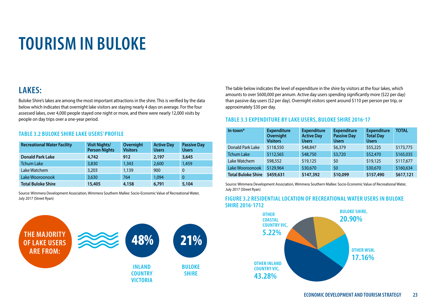### **LAKES:**

Buloke Shire's lakes are among the most important attractions in the shire. This is verified by the data below which indicates that overnight lake visitors are staying nearly 4 days on average. For the four assessed lakes, over 4,000 people stayed one night or more, and there were nearly 12,000 visits by people on day trips over a one-year period.

#### **TABLE 3.2 BULOKE SHIRE LAKE USERS' PROFILE**

| <b>Recreational Water Facility</b> | <b>Visit Nights/</b><br><b>Person Nights</b> | Overnight<br><b>Visitors</b> | <b>Active Day</b><br><b>Users</b> | <b>Passive Day</b><br><b>Users</b> |
|------------------------------------|----------------------------------------------|------------------------------|-----------------------------------|------------------------------------|
| <b>Donald Park Lake</b>            | 4,742                                        | 912                          | 2,197                             | 3,645                              |
| <b>Tchum Lake</b>                  | 3,830                                        | 1,343                        | 2,600                             | 1,459                              |
| Lake Watchem                       | 3,203                                        | 1,139                        | 900                               | 0                                  |
| Lake Wooroonook                    | 3.630                                        | 764                          | 1.094                             | $\mathbf{0}$                       |
| <b>Total Buloke Shire</b>          | 15,405                                       | 4,158                        | 6,791                             | 5,104                              |

Source: Wimmera Development Association, Wimmera Southern Mallee: Socio-Economic Value of Recreational Water, July 2017 (Street Ryan)



The table below indicates the level of expenditure in the shire by visitors at the four lakes, which amounts to over \$600,000 per annum. Active day users spending significantly more (\$22 per day) than passive day users (\$2 per day). Overnight visitors spent around \$110 per person per trip, or approximately \$30 per day.

#### **TABLE 3.3 EXPENDITURE BY LAKE USERS, BULOKE SHIRE 2016-17**

| In-town*                  | <b>Expenditure</b><br>Overnight<br><b>Visitors</b> | <b>Expenditure</b><br><b>Active Day</b><br><b>Users</b> | <b>Expenditure</b><br><b>Passive Day</b><br><b>Users</b> | <b>Expenditure</b><br><b>Total Day</b><br><b>Users</b> | <b>TOTAL</b> |
|---------------------------|----------------------------------------------------|---------------------------------------------------------|----------------------------------------------------------|--------------------------------------------------------|--------------|
| Donald Park Lake          | \$118,550                                          | \$48,847                                                | \$6,379                                                  | \$55,225                                               | \$173,775    |
| <b>Tchum Lake</b>         | \$112,565                                          | \$48,750                                                | \$3,720                                                  | \$52,470                                               | \$165,035    |
| Lake Watchem              | \$98,552                                           | \$19,125                                                | \$0                                                      | \$19,125                                               | \$117,677    |
| Lake Wooroonook           | \$129,964                                          | \$30,670                                                | \$0                                                      | \$30,670                                               | \$160,634    |
| <b>Total Buloke Shire</b> | \$459,631                                          | \$147,392                                               | \$10,099                                                 | \$157,490                                              | \$617,121    |

Source: Wimmera Development Association, Wimmera Southern Mallee: Socio-Economic Value of Recreational Water, July 2017 (Street Ryan)

#### **FIGURE 3.2 RESIDENTIAL LOCATION OF RECREATIONAL WATER USERS IN BULOKE SHIRE 2016-1712**

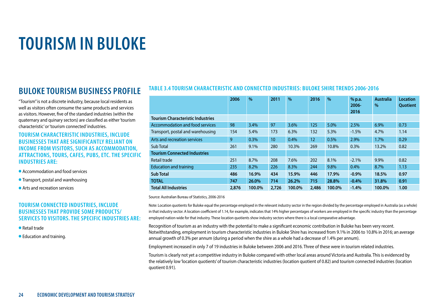### **BULOKE TOURISM BUSINESS PROFILE**

"Tourism" is not a discrete industry, because local residents as well as visitors often consume the same products and services as visitors. However, five of the standard industries (within the quaternary and quinary sectors) are classified as either 'tourism characteristic' or 'tourism connected' industries.

#### **TOURISM CHARACTERISTIC INDUSTRIES, INCLUDE BUSINESSES THAT ARE SIGNIFICANTLY RELIANT ON INCOME FROM VISITORS, SUCH AS ACCOMMODATION, ATTRACTIONS, TOURS, CAFES, PUBS, ETC. THE SPECIFIC INDUSTRIES ARE:**

- l Accommodation and food services
- **Transport, postal and warehousing**
- Arts and recreation services

#### **TOURISM CONNECTED INDUSTRIES, INCLUDE BUSINESSES THAT PROVIDE SOME PRODUCTS/ SERVICES TO VISITORS. THE SPECIFIC INDUSTRIES ARE:**

- l Retail trade
- **Education and training.**

#### **TABLE 3.4 TOURISM CHARACTERISTIC AND CONNECTED INDUSTRIES: BULOKE SHIRE TRENDS 2006-2016**

|                                          | 2006  | $\frac{0}{0}$ | 2011             | $\frac{0}{0}$ | 2016  | $\frac{0}{0}$ | % p.a.<br>$2006 -$<br>2016 | <b>Australia</b><br>$\frac{0}{0}$ | <b>Location</b><br><b>Ouotient</b> |
|------------------------------------------|-------|---------------|------------------|---------------|-------|---------------|----------------------------|-----------------------------------|------------------------------------|
| <b>Tourism Characteristic Industries</b> |       |               |                  |               |       |               |                            |                                   |                                    |
| Accommodation and food services          | 98    | 3.4%          | 97               | 3.6%          | 125   | 5.0%          | 2.5%                       | 6.9%                              | 0.73                               |
| Transport, postal and warehousing        | 154   | 5.4%          | 173              | 6.3%          | 132   | 5.3%          | $-1.5%$                    | 4.7%                              | 1.14                               |
| Arts and recreation services             | 9     | 0.3%          | 10 <sup>10</sup> | 0.4%          | 12    | 0.5%          | 2.9%                       | 1.7%                              | 0.29                               |
| Sub Total                                | 261   | 9.1%          | 280              | 10.3%         | 269   | 10.8%         | 0.3%                       | 13.2%                             | 0.82                               |
| <b>Tourism Connected Industries</b>      |       |               |                  |               |       |               |                            |                                   |                                    |
| Retail trade                             | 251   | 8.7%          | 208              | 7.6%          | 202   | 8.1%          | $-2.1%$                    | 9.9%                              | 0.82                               |
| <b>Education and training</b>            | 235   | 8.2%          | 226              | 8.3%          | 244   | 9.8%          | 0.4%                       | 8.7%                              | 1.13                               |
| <b>Sub Total</b>                         | 486   | 16.9%         | 434              | 15.9%         | 446   | 17.9%         | $-0.9%$                    | 18.5%                             | 0.97                               |
| <b>TOTAL</b>                             | 747   | 26.0%         | 714              | 26.2%         | 715   | 28.8%         | $-0.4%$                    | 31.8%                             | 0.91                               |
| <b>Total All Industries</b>              | 2,876 | 100.0%        | 2,726            | 100.0%        | 2,486 | 100.0%        | $-1.4%$                    | 100.0%                            | 1.00                               |

Source: Australian Bureau of Statistics, 2006-2016

Note: Location quotients for Buloke equal the percentage employed in the relevant industry sector in the region divided by the percentage employed in Australia (as a whole) in that industry sector. A location coefficient of 1.14, for example, indicates that 14% higher percentages of workers are employed in the specific industry than the percentage employed nation-wide for that industry. These location quotients show industry sectors where there is a local comparative advantage.

Recognition of tourism as an industry with the potential to make a significant economic contribution in Buloke has been very recent. Notwithstanding, employment in tourism characteristic industries in Buloke Shire has increased from 9.1% in 2006 to 10.8% in 2016; an average annual growth of 0.3% per annum (during a period when the shire as a whole had a decrease of 1.4% per annum).

Employment increased in only 7 of 19 industries in Buloke between 2006 and 2016. Three of these were in tourism related industries.

Tourism is clearly not yet a competitive industry in Buloke compared with other local areas around Victoria and Australia. This is evidenced by the relatively low 'location quotients' of tourism characteristic industries (location quotient of 0.82) and tourism connected industries (location quotient 0.91).